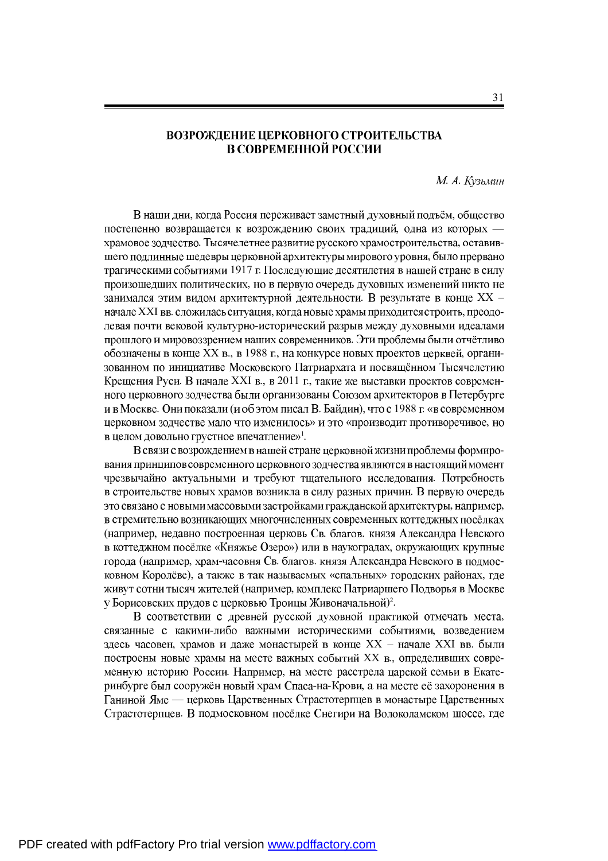## ВОЗРОЖДЕНИЕ ЦЕРКОВНОГО СТРОИТЕЛЬСТВА В СОВРЕМЕННОЙ РОССИИ

*М. А. Кузьмин* 

В наши дни, когда Россия переживает заметный духовный подъём, общество постепенно возвращается к возрождению своих традиций, одна из которых храмовое зодчество. Тысячелетнее развитие русского храмостроительства, оставившего подлинные шедевры церковной архитектуры мирового уровня, было прервано трагическими событиями 1917 г. Последующие десятилетия в нашей стране в силу произошедших политических, но в первую очередь духовных изменений никто не занимался этим видом архитектурной деятельности. В результате в конце XX начале XXI вв. сложилась ситуация, когда новые храмы приходится строить, преодолевая почти вековой культурно-исторический разрыв между духовными идеалами прошлого и мировоззрением наших современников. Эти проблемы были отчётливо обозначены в конце XX в., в 1988 г., на конкурсе новых проектов церквей, организованном по инициативе Московского Патриархата и посвящённом Тысячелетию Крещения Руси. В начале XXI в., в 2011 г., такие же выставки проектов современного церковного зодчества были организованы Союзом архитекторов в Петербурге и в Москве. Они показали (и об этом писал В. Байдин), что с 1988 г. «в современном церковном зодчестве мало что изменилось» и это «производит противоречивое, но » 1 *.*

В связи с возрождением в нашей стране церковной жизни проблемы формирования принципов современного церковного зодчества являются в настоящий момент чрезвычайно актуальными и требуют тщательного исследования. Потребность в строительстве новых храмов возникла в силу разных причин. В первую очередь это связано с новыми массовыми застройками гражданской архитектуры, например, в стремительно возникающих многочисленных современных коттеджных посёлках (например, недавно построенная церковь Св. благов. князя Александра Невского в коттеджном посёлке «Княжье Озеро») или в наукоградах, окружающих крупные города (например, храм-часовня Св. благов. князя Александра Невского в подмосковном Королёве), а также в так называемых «спальных» городских районах, где живут сотни тысяч жителей (например, комплекс Патриаршего Подворья в Москве  $)^2$ .

В соответствии с древней русской духовной практикой отмечать места, связанные с какими-либо важными историческими событиями, возведением здесь часовен, храмов и даже монастырей в конце XX - начале XXI вв. были построены новые храмы на месте важных событий XX в., определивших современную историю России. Например, на месте расстрела царской семьи в Екатеринбурге был сооружён новый храм Спаса-на-Крови, а на месте её захоронения в Ганиной Яме — церковь Царственных Страстотерпцев в монастыре Царственных Страстотерпцев. В подмосковном посёлке Снегири на Волоколамском шоссе, где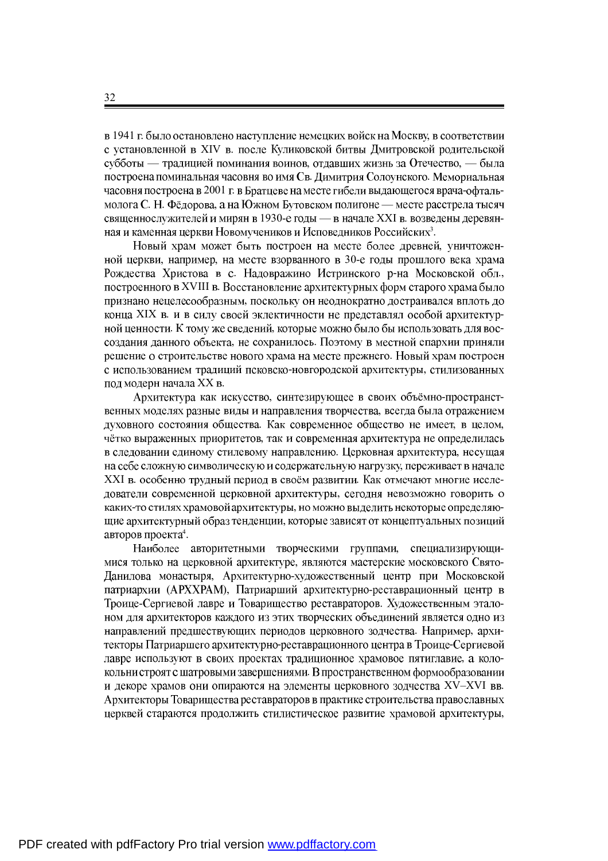в 1941 г. было остановлено наступление немецких войск на Москву, в соответствии с установленной в XIV в. после Куликовской битвы Дмитровской родительской субботы — традицией поминания воинов, отдавших жизнь за Отечество, — была построена поминальная часовня во имя Св. Димитрия Солоунского. Мемориальная часовня построена в 2001 г. в Братцеве на месте гибели выдающегося врача-офтальмолога С. Н. Фёдорова, а на Южном Бутовском полигоне — месте расстрела тысяч священнослужителей и мирян в 1930-е годы — в начале XXI в. возведены деревян-3 .

Новый храм может быть построен на месте более древней, уничтоженной церкви, например, на месте взорванного в 30-е годы прошлого века храма Рождества Христова в с. Надовражино Истринского р-на Московской обл., построенного в XVIII в. Восстановление архитектурных форм старого храма было признано нецелесообразным, поскольку он неоднократно достраивался вплоть до конца XIX в. и в силу своей эклектичности не представлял особой архитектурной ценности. К тому же сведений, которые можно было бы использовать для воссоздания данного объекта, не сохранилось. Поэтому в местной епархии приняли решение о строительстве нового храма на месте прежнего. Новый храм построен с использованием традиций псковско-новгородской архитектуры, стилизованных под модерн начала XX в.

Архитектура как искусство, синтезирующее в своих объёмно-пространственных моделях разные виды и направления творчества, всегда была отражением духовного состояния общества. Как современное общество не имеет, в целом, чётко выраженных приоритетов, так и современная архитектура не определилась в следовании единому стилевому направлению. Церковная архитектура, несущая на себе сложную символическую и содержательную нагрузку, переживает в начале XXI в. особенно трудный период в своём развитии. Как отмечают многие исследователи современной церковной архитектуры, сегодня невозможно говорить о каких-то стилях храмовой архитектуры, но можно выделить некоторые определяющие архитектурный образ тенденции, которые зависят от концептуальных позиций 4 .

Наиболее авторитетными творческими группами, специализирующимися только на церковной архитектуре, являются мастерские московского Свято-Данилова монастыря, Архитектурно-художественный центр при Московской патриархии (АРХХРАМ), Патриарший архитектурно-реставрационный центр в Троице-Сергиевой лавре и Товарищество реставраторов. Художественным эталоном для архитекторов каждого из этих творческих объединений является одно из направлений предшествующих периодов церковного зодчества. Например, архитекторы Патриаршего архитектурно-реставрационного центра в Троице-Сергиевой лавре используют в своих проектах традиционное храмовое пятиглавие, а колокольни строят с шатровыми завершениями. В пространственном формообразовании и декоре храмов они опираются на элементы церковного зодчества XV-XVI вв. Архитекторы Товарищества реставраторов в практике строительства православных церквей стараются продолжить стилистическое развитие храмовой архитектуры,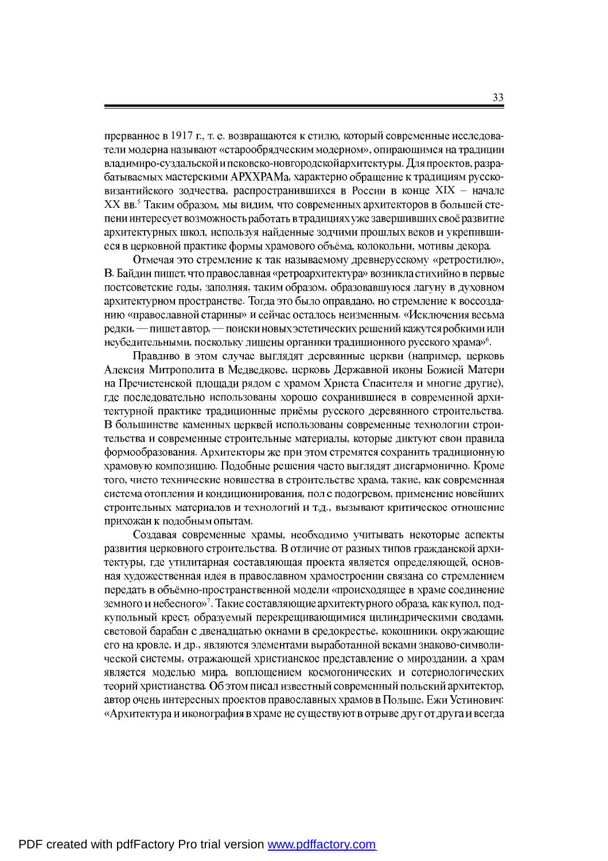прерванное в 1917 г., т. е. возвращаются к стилю, который современные исследователи модерна называют «старообрядческим модерном», опирающимся на традиции владимиро-суздальской и псковско-новгородской архитектуры. Для проектов, разрабатываемых мастерскими АРХХРАМа, характерно обращение к традициям руссковизантийского зодчества, распространившихся в России в конце XIX - начале XX вв.<sup>5</sup> Таким образом, мы видим, что современных архитекторов в большей степени интересует возможность работать в традициях уже завершивших своё развитие архитектурных школ, используя найденные зодчими прошлых веков и укрепившиеся в церковной практике формы храмового объёма, колокольни, мотивы декора.

Отмечая это стремление к так называемому древнерусскому «ретростилю», В. Байдин пишет, что православная «ретроархитектура» возникла стихийно в первые постсоветские годы, заполняя, таким образом, образовавшуюся лагуну в духовном архитектурном пространстве. Тогда это было оправдано, но стремление к воссозданию «православной старины» и сейчас осталось неизменным. «Исключения весьма редки, — пишет автор, — поиски новых эстетических решений кажутся робкими или , поскольку лишены органики традиционного русского храма» $^6$ .

Правдиво в этом случае выглядят деревянные церкви (например, церковь Алексия Митрополита в Медведкове, церковь Державной иконы Божией Матери на Пречистенской площади рядом с храмом Христа Спасителя и многие другие), где последовательно использованы хорошо сохранившиеся в современной архитектурной практике традиционные приёмы русского деревянного строительства. В большинстве каменных церквей использованы современные технологии строительства и современные строительные материалы, которые диктуют свои правила формообразования. Архитекторы же при этом стремятся сохранить традиционную храмовую композицию. Подобные решения часто выглядят дисгармонично. Кроме того, чисто технические новшества в строительстве храма, такие, как современная система отопления и кондиционирования, пол с подогревом, применение новейших строительных материалов и технологий и т.д., вызывают критическое отношение прихожан к подобным опытам.

Создавая современные храмы, необходимо учитывать некоторые аспекты развития церковного строительства. В отличие от разных типов гражданской архитектуры, где утилитарная составляющая проекта является определяющей, основная художественная идея в православном храмостроении связана со стремлением передать в объёмно-пространственной модели «происходящее в храме соединение »<sup>7</sup>. Такие составляющие архитектурного образа, как купол, подкупольный крест, образуемый перекрещивающимися цилиндрическими сводами, световой барабан с двенадцатью окнами в средокрестье, кокошники, окружающие его на кровле, и др., являются элементами выработанной веками знаково-символической системы, отражающей христианское представление о мироздании, а храм является моделью мира, воплощением космогонических и сотериологических теорий христианства. Об этом писал известный современный польский архитектор, автор очень интересных проектов православных храмов в Польше, Ежи Устинович: «Архитектура и иконография в храме не существуют в отрыве друг от друга и всегда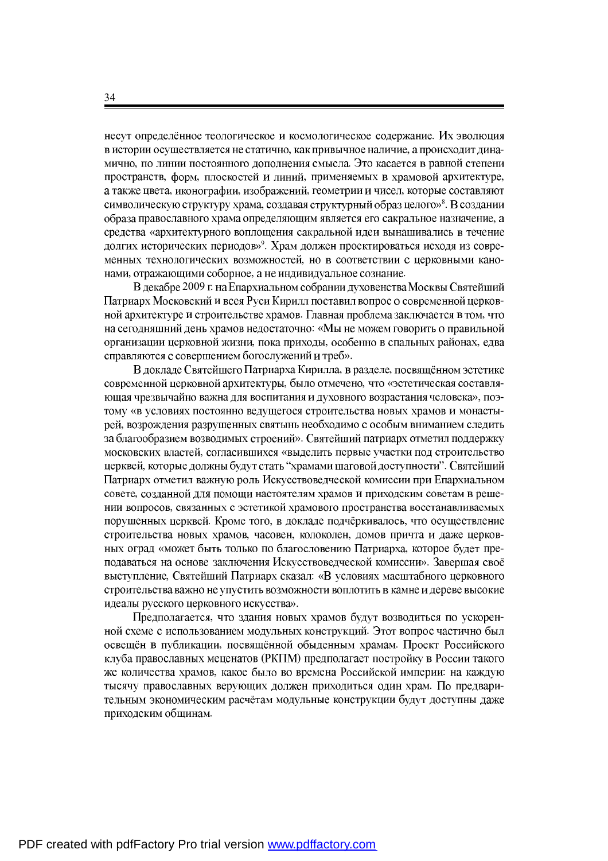несут определённое теологическое и космологическое содержание. Их эволюция в истории осуществляется не статично, как привычное наличие, а происходит динамично, по линии постоянного дополнения смысла. Это касается в равной степени пространств, форм, плоскостей и линий, применяемых в храмовой архитектуре, а также цвета, иконографии, изображений, геометрии и чисел, которые составляют , создавая структурный образ целого»<sup>8</sup>. образа православного храма определяющим является его сакральное назначение, а средства «архитектурного воплощения сакральной идеи вынашивались в течение »<sup>9</sup>. Храм должен проектироваться исходя из современных технологических возможностей, но в соответствии с церковными канонами, отражающими соборное, а не индивидуальное сознание.

В декабре 2009 г. на Епархиальном собрании духовенства Москвы Святейший Патриарх Московский и всея Руси Кирилл поставил вопрос о современной церковной архитектуре и строительстве храмов. Главная проблема заключается в том, что на сегодняшний день храмов недостаточно: «Мы не можем говорить о правильной организации церковной жизни, пока приходы, особенно в спальных районах, едва справляются с совершением богослужений и треб».

В докладе Святейшего Патриарха Кирилла, в разделе, посвящённом эстетике современной церковной архитектуры, было отмечено, что «эстетическая составляющая чрезвычайно важна для воспитания и духовного возрастания человека», поэтому «в условиях постоянно ведущегося строительства новых храмов и монастырей, возрождения разрушенных святынь необходимо с особым вниманием следить за благообразием возводимых строений». Святейший патриарх отметил поддержку московских властей, согласившихся «выделить первые участки под строительство церквей, которые должны будут стать "храмами шаговой доступности". Святейший Патриарх отметил важную роль Искусствоведческой комиссии при Епархиальном совете, созданной для помощи настоятелям храмов и приходским советам в решении вопросов, связанных с эстетикой храмового пространства восстанавливаемых порушенных церквей. Кроме того, в докладе подчёркивалось, что осуществление строительства новых храмов, часовен, колоколен, домов причта и даже церковных оград «может быть только по благословению Патриарха, которое будет преподаваться на основе заключения Искусствоведческой комиссии». Завершая своё выступление, Святейший Патриарх сказал: «В условиях масштабного церковного строительства важно не упустить возможности воплотить в камне и дереве высокие идеалы русского церковного искусства».

Предполагается, что здания новых храмов будут возводиться по ускоренной схеме с использованием модульных конструкций. Этот вопрос частично был освещён в публикации, посвящённой обыденным храмам. Проект Российского клуба православных меценатов (РКПМ) предполагает постройку в России такого же количества храмов, какое было во времена Российской империи: на каждую тысячу православных верующих должен приходиться один храм. По предварительным экономическим расчётам модульные конструкции будут доступны даже приходским общинам.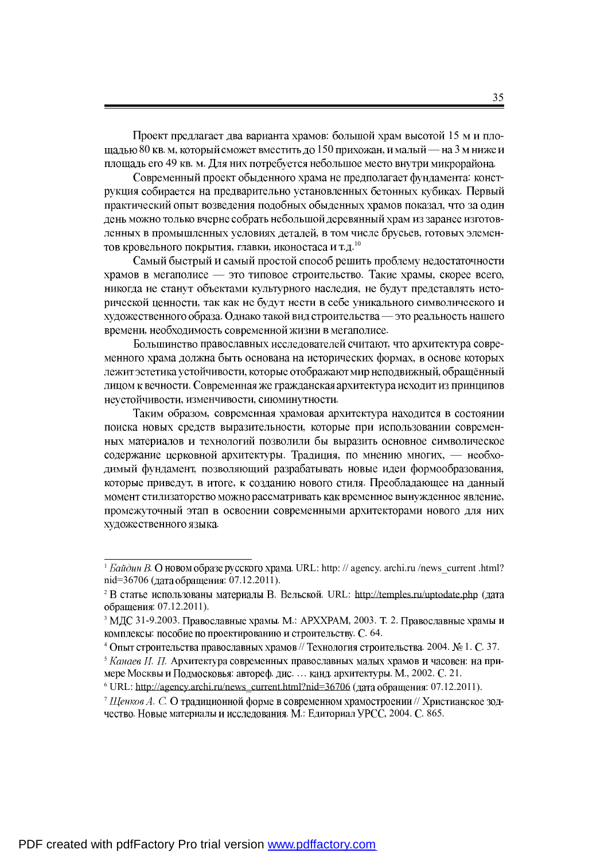Проект предлагает два варианта храмов: большой храм высотой 15 м и площадью 80 кв. м, который сможет вместить до 150 прихожан, и малый — на 3 м ниже и площадь его 49 кв. м. Для них потребуется небольшое место внутри микрорайона.

Современный проект обыденного храма не предполагает фундамента: конструкция собирается на предварительно установленных бетонных кубиках. Первый практический опыт возведения подобных обыденных храмов показал, что за один день можно только вчерне собрать небольшой деревянный храм из заранее изготовленных в промышленных условиях деталей, в том числе брусьев, готовых элемен-, главки, иконостаса и т.д. $^{\rm 10}$ 

Самый быстрый и самый простой способ решить проблему недостаточности храмов в мегаполисе — это типовое строительство. Такие храмы, скорее всего, никогда не станут объектами культурного наследия, не будут представлять исторической ценности, так как не будут нести в себе уникального символического и художественного образа. Однако такой вид строительства - это реальность нашего времени, необходимость современной жизни в мегаполисе.

Большинство православных исследователей считают, что архитектура современного храма должна быть основана на исторических формах, в основе которых лежит эстетика устойчивости, которые отображают мир неподвижный, обращённый лицом к вечности. Современная же гражданская архитектура исходит из принципов неустойчивости, изменчивости, сиюминутности.

Таким образом, современная храмовая архитектура находится в состоянии поиска новых средств выразительности, которые при использовании современных материалов и технологий позволили бы выразить основное символическое содержание церковной архитектуры. Традиция, по мнению многих, - необходимый фундамент, позволяющий разрабатывать новые идеи формообразования, которые приведут, в итоге, к созданию нового стиля. Преобладающее на данный момент стилизаторство можно рассматривать как временное вынужденное явление, промежуточный этап в освоении современными архитекторами нового для них художественного языка.

 $^1$  *Eaŭduh B*. O **HOBOM** образе русского храма. URL: http://agency. archi.ru/news\_current .html? nid=36706 (дата обращения: 07.12.2011).

<sup>&</sup>lt;sup>2</sup> В статье использованы материалы В. Вельской. URL: <http://temples.ru/uptodate.php>( обращения: 07.12.2011).

 $3$  M<sub>J</sub><sub>C</sub> 31-9.2003. Православные храмы. М.: APXXPAM, 2003. Т. 2. Православные храмы и комплексы: пособие по проектированию и строительству. С. 64.

 $^4$ Опыт строительства православных храмов // Технология строительства. 2004. № 1. С. 37.

<sup>&</sup>lt;sup>5</sup> Канаев И. П. Архитектура современных православных малых храмов и часовен: на примере Москвы и Подмосковья: автореф. дис. ... канд. архитектуры. М., 2002. С. 21.

 $6$  URL: [http://agency.archi.ru/news\\_current.html?nid=36706](http://agency.archi.ru/news_current.html?nid=36706) (дата обращения: 07.12.2011).

<sup>&</sup>lt;sup>7</sup> Щенков А. С. О традиционной форме в современном храмостроении // Христианское зодчество. Новые материалы и исследования. М.: Едиториал УРСС, 2004. С. 865.